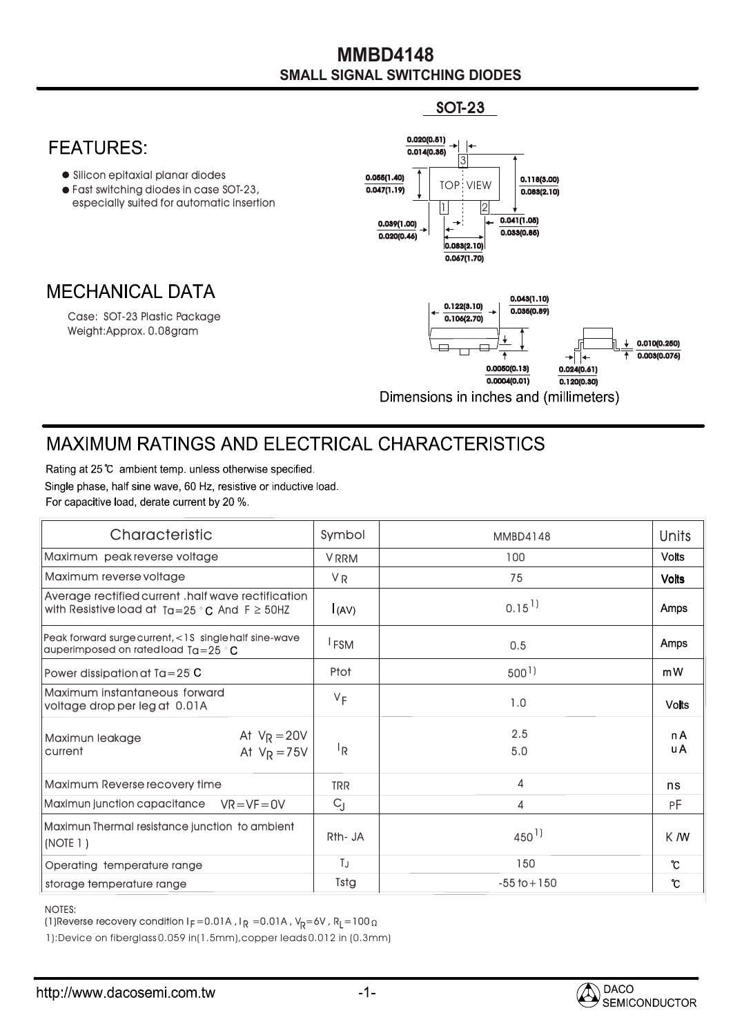## **SMALL SIGNAL SWITCHING DIODES MMBD4148**

SOT-23



## **MAXIMUM RATINGS AND ELECTRICAL CHARACTERISTICS**

Rating at 25 °C ambient temp, unless otherwise specified. Single phase, half sine wave, 60 Hz, resistive or inductive load. For capacitive load, derate current by 20 %.

| Characteristic                                                                                             | Symbol           | <b>MMBD4148</b>      | <b>Units</b> |
|------------------------------------------------------------------------------------------------------------|------------------|----------------------|--------------|
| Maximum peak reverse voltage                                                                               | <b>VRRM</b>      | 100                  | <b>Volts</b> |
| Maximum reverse voltage                                                                                    | <b>VR</b>        | 75                   | <b>Volts</b> |
| Average rectified current .half wave rectification<br>with Resistive load at $Ta=25 °C$ And $F \geq 50$ HZ | (AV)             | $0.15$ <sup>1)</sup> | Amps         |
| Peak forward surge current, <1S single half sine-wave<br>auperimposed on rated load $Ta = 25$ $^{\circ}$ C | <sup>I</sup> FSM | 0.5                  | Amps         |
| Power dissipation at $Ta = 25^\circ$ C                                                                     | Ptot             | $500$ <sup>1</sup> ) | mW           |
| Maximum instantaneous forward<br>voltage drop per leg at 0.01A                                             | $V_F$            | 1.0                  | <b>Volts</b> |
| At $V_R = 20V$<br>Maximun leakage<br>At $V_R = 75V$<br>current                                             | <sup>I</sup> R   | 2.5<br>5.0           | n A<br>u A   |
| Maximum Reverse recovery time                                                                              | <b>TRR</b>       | 4                    | ns           |
| Maximun junction capacitance<br>$VR = VF = OV$                                                             | $C_{J}$          | 4                    | РF           |
| Maximun Thermal resistance junction to ambient<br>(NOTE 1)                                                 | Rth- JA          | $450^{1}$            | K M          |
| Operating temperature range                                                                                | TJ               | 150                  | °C           |
| storage temperature range                                                                                  | Tstg             | $-55$ to $+150$      | ℃            |

## NOTES:

(1)Reverse recovery condition I $_{\mathsf{F}}$  =0.01A , I $_{\mathsf{R}}$  =0.01A , V $_{\mathsf{R}}$ =6V , R $_{\mathsf{L}}$ =100

1):Device on fiberglass 0.059 in(1.5mm),copper leads 0.012 in (0.3mm)

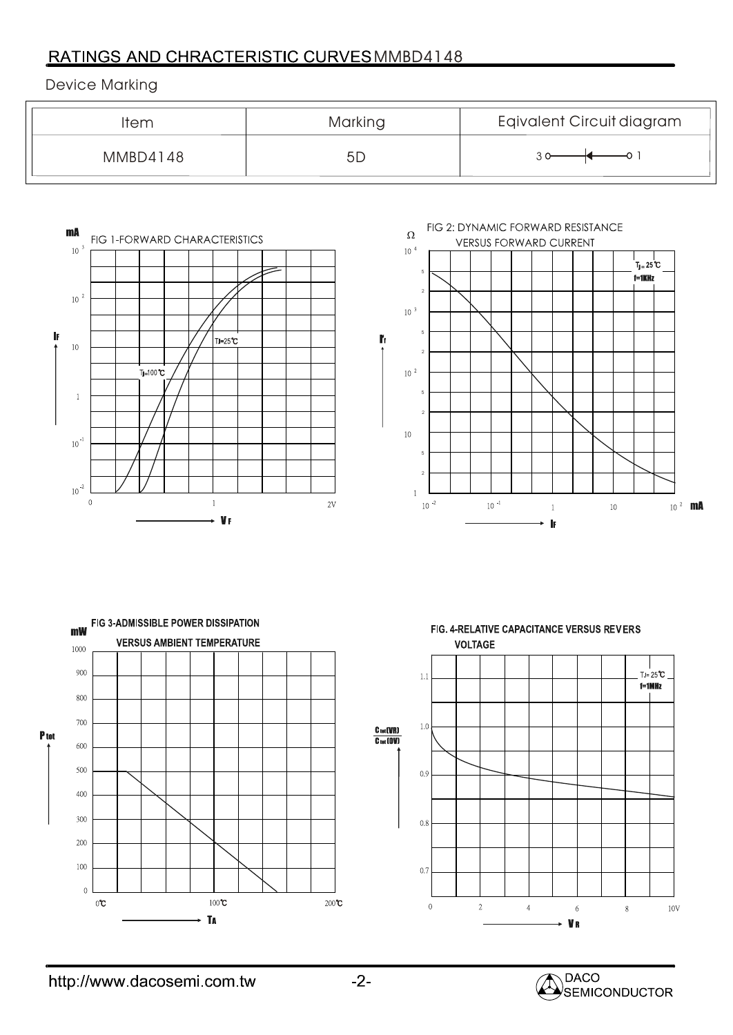## RATINGS AND CHRACTERISTIC CURVES MMBD4148

Device Marking

| Item     | Marking | Eqivalent Circuit diagram |
|----------|---------|---------------------------|
| MMBD4148 | 5L      |                           |



FIG 2: DYNAMIC FORWARD RESISTANCE  $\Omega$ **VERSUS FORWARD CURRENT**  $10^{-4}\,$ | |<br>Tj<sub>=</sub> 25 ℃ 5  $i=1KHz$ 2  $10^{-3}$ 5  $\mathbf{r}$ 2  $10^{-2}$ 5 2  $10\,$ 52  $\mathbf{1}$  $10^{-2}$  $10$   $^{\text{-}1}$  $10^{-2}$  mA  $\bar{1}$  $\overline{10}$ ŀ